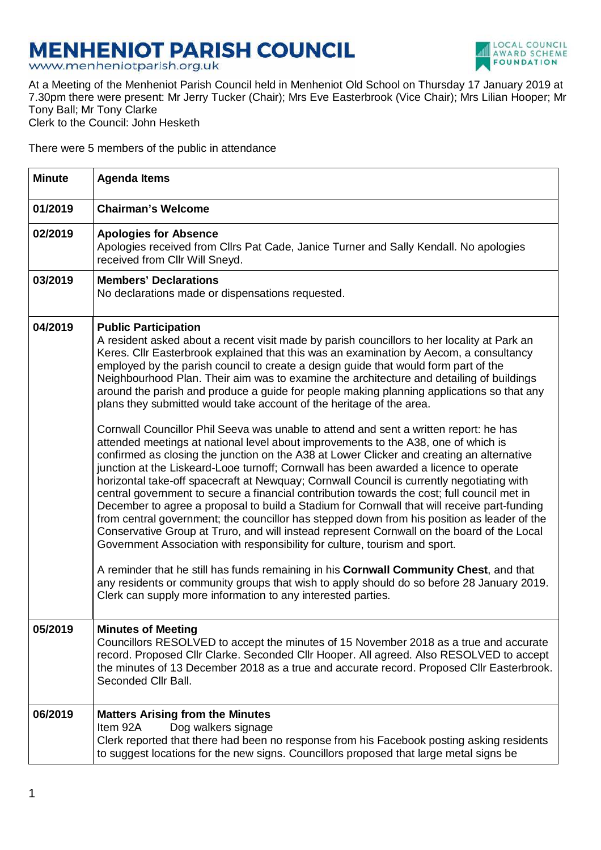## **MENHENIOT PARISH COUNCIL**<br>www.menheniotparish.org.uk



At a Meeting of the Menheniot Parish Council held in Menheniot Old School on Thursday 17 January 2019 at 7.30pm there were present: Mr Jerry Tucker (Chair); Mrs Eve Easterbrook (Vice Chair); Mrs Lilian Hooper; Mr Tony Ball; Mr Tony Clarke Clerk to the Council: John Hesketh

There were 5 members of the public in attendance

| <b>Minute</b> | <b>Agenda Items</b>                                                                                                                                                                                                                                                                                                                                                                                                                                                                                                                                                                                                                                                                                                                                                                                                                                                                                                                                                                                                                                                                                                                                                                                                                                                                                                                                                                                                                                                                                                                                                                                                                                                                                                                                                            |
|---------------|--------------------------------------------------------------------------------------------------------------------------------------------------------------------------------------------------------------------------------------------------------------------------------------------------------------------------------------------------------------------------------------------------------------------------------------------------------------------------------------------------------------------------------------------------------------------------------------------------------------------------------------------------------------------------------------------------------------------------------------------------------------------------------------------------------------------------------------------------------------------------------------------------------------------------------------------------------------------------------------------------------------------------------------------------------------------------------------------------------------------------------------------------------------------------------------------------------------------------------------------------------------------------------------------------------------------------------------------------------------------------------------------------------------------------------------------------------------------------------------------------------------------------------------------------------------------------------------------------------------------------------------------------------------------------------------------------------------------------------------------------------------------------------|
| 01/2019       | <b>Chairman's Welcome</b>                                                                                                                                                                                                                                                                                                                                                                                                                                                                                                                                                                                                                                                                                                                                                                                                                                                                                                                                                                                                                                                                                                                                                                                                                                                                                                                                                                                                                                                                                                                                                                                                                                                                                                                                                      |
| 02/2019       | <b>Apologies for Absence</b><br>Apologies received from Cllrs Pat Cade, Janice Turner and Sally Kendall. No apologies<br>received from Cllr Will Sneyd.                                                                                                                                                                                                                                                                                                                                                                                                                                                                                                                                                                                                                                                                                                                                                                                                                                                                                                                                                                                                                                                                                                                                                                                                                                                                                                                                                                                                                                                                                                                                                                                                                        |
| 03/2019       | <b>Members' Declarations</b><br>No declarations made or dispensations requested.                                                                                                                                                                                                                                                                                                                                                                                                                                                                                                                                                                                                                                                                                                                                                                                                                                                                                                                                                                                                                                                                                                                                                                                                                                                                                                                                                                                                                                                                                                                                                                                                                                                                                               |
| 04/2019       | <b>Public Participation</b><br>A resident asked about a recent visit made by parish councillors to her locality at Park an<br>Keres. Cllr Easterbrook explained that this was an examination by Aecom, a consultancy<br>employed by the parish council to create a design guide that would form part of the<br>Neighbourhood Plan. Their aim was to examine the architecture and detailing of buildings<br>around the parish and produce a guide for people making planning applications so that any<br>plans they submitted would take account of the heritage of the area.<br>Cornwall Councillor Phil Seeva was unable to attend and sent a written report: he has<br>attended meetings at national level about improvements to the A38, one of which is<br>confirmed as closing the junction on the A38 at Lower Clicker and creating an alternative<br>junction at the Liskeard-Looe turnoff; Cornwall has been awarded a licence to operate<br>horizontal take-off spacecraft at Newquay; Cornwall Council is currently negotiating with<br>central government to secure a financial contribution towards the cost; full council met in<br>December to agree a proposal to build a Stadium for Cornwall that will receive part-funding<br>from central government; the councillor has stepped down from his position as leader of the<br>Conservative Group at Truro, and will instead represent Cornwall on the board of the Local<br>Government Association with responsibility for culture, tourism and sport.<br>A reminder that he still has funds remaining in his Cornwall Community Chest, and that<br>any residents or community groups that wish to apply should do so before 28 January 2019.<br>Clerk can supply more information to any interested parties. |
| 05/2019       | <b>Minutes of Meeting</b><br>Councillors RESOLVED to accept the minutes of 15 November 2018 as a true and accurate<br>record. Proposed Cllr Clarke. Seconded Cllr Hooper. All agreed. Also RESOLVED to accept<br>the minutes of 13 December 2018 as a true and accurate record. Proposed Cllr Easterbrook.<br>Seconded Cllr Ball.                                                                                                                                                                                                                                                                                                                                                                                                                                                                                                                                                                                                                                                                                                                                                                                                                                                                                                                                                                                                                                                                                                                                                                                                                                                                                                                                                                                                                                              |
| 06/2019       | <b>Matters Arising from the Minutes</b><br>Dog walkers signage<br>Item 92A<br>Clerk reported that there had been no response from his Facebook posting asking residents<br>to suggest locations for the new signs. Councillors proposed that large metal signs be                                                                                                                                                                                                                                                                                                                                                                                                                                                                                                                                                                                                                                                                                                                                                                                                                                                                                                                                                                                                                                                                                                                                                                                                                                                                                                                                                                                                                                                                                                              |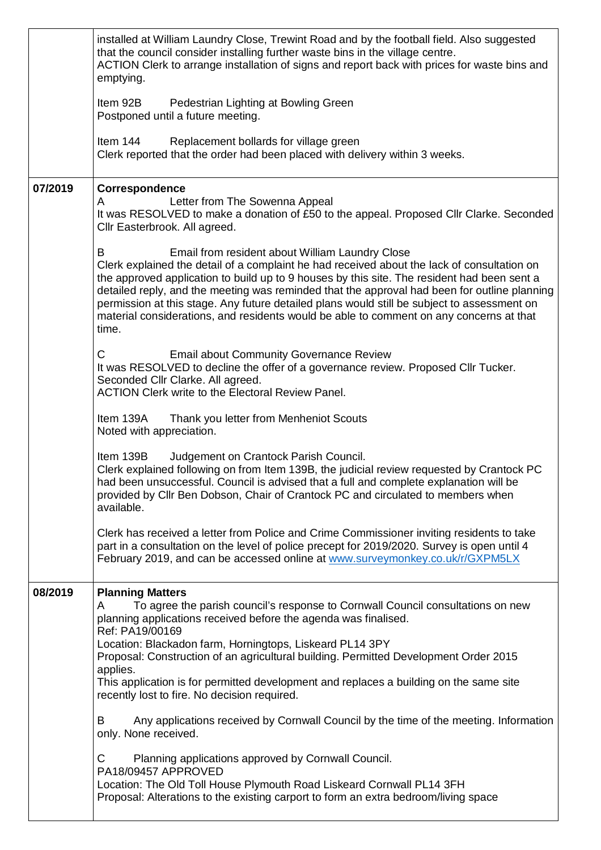|         | installed at William Laundry Close, Trewint Road and by the football field. Also suggested<br>that the council consider installing further waste bins in the village centre.<br>ACTION Clerk to arrange installation of signs and report back with prices for waste bins and<br>emptying.                                                                                                                                                                                                                                                             |
|---------|-------------------------------------------------------------------------------------------------------------------------------------------------------------------------------------------------------------------------------------------------------------------------------------------------------------------------------------------------------------------------------------------------------------------------------------------------------------------------------------------------------------------------------------------------------|
|         | Pedestrian Lighting at Bowling Green<br>Item 92B<br>Postponed until a future meeting.                                                                                                                                                                                                                                                                                                                                                                                                                                                                 |
|         | Item 144<br>Replacement bollards for village green<br>Clerk reported that the order had been placed with delivery within 3 weeks.                                                                                                                                                                                                                                                                                                                                                                                                                     |
| 07/2019 | Correspondence<br>Letter from The Sowenna Appeal<br>A<br>It was RESOLVED to make a donation of £50 to the appeal. Proposed Cllr Clarke. Seconded<br>Cllr Easterbrook. All agreed.                                                                                                                                                                                                                                                                                                                                                                     |
|         | B<br>Email from resident about William Laundry Close<br>Clerk explained the detail of a complaint he had received about the lack of consultation on<br>the approved application to build up to 9 houses by this site. The resident had been sent a<br>detailed reply, and the meeting was reminded that the approval had been for outline planning<br>permission at this stage. Any future detailed plans would still be subject to assessment on<br>material considerations, and residents would be able to comment on any concerns at that<br>time. |
|         | C<br><b>Email about Community Governance Review</b><br>It was RESOLVED to decline the offer of a governance review. Proposed Cllr Tucker.<br>Seconded Cllr Clarke. All agreed.<br><b>ACTION Clerk write to the Electoral Review Panel.</b>                                                                                                                                                                                                                                                                                                            |
|         | Item 139A<br>Thank you letter from Menheniot Scouts<br>Noted with appreciation.                                                                                                                                                                                                                                                                                                                                                                                                                                                                       |
|         | Item 139B<br>Judgement on Crantock Parish Council.<br>Clerk explained following on from Item 139B, the judicial review requested by Crantock PC<br>had been unsuccessful. Council is advised that a full and complete explanation will be<br>provided by Cllr Ben Dobson, Chair of Crantock PC and circulated to members when<br>available.                                                                                                                                                                                                           |
|         | Clerk has received a letter from Police and Crime Commissioner inviting residents to take<br>part in a consultation on the level of police precept for 2019/2020. Survey is open until 4<br>February 2019, and can be accessed online at www.surveymonkey.co.uk/r/GXPM5LX                                                                                                                                                                                                                                                                             |
| 08/2019 | <b>Planning Matters</b><br>To agree the parish council's response to Cornwall Council consultations on new<br>A<br>planning applications received before the agenda was finalised.<br>Ref: PA19/00169<br>Location: Blackadon farm, Horningtops, Liskeard PL14 3PY                                                                                                                                                                                                                                                                                     |
|         | Proposal: Construction of an agricultural building. Permitted Development Order 2015<br>applies.<br>This application is for permitted development and replaces a building on the same site<br>recently lost to fire. No decision required.                                                                                                                                                                                                                                                                                                            |
|         | Any applications received by Cornwall Council by the time of the meeting. Information<br>В<br>only. None received.                                                                                                                                                                                                                                                                                                                                                                                                                                    |
|         | Planning applications approved by Cornwall Council.<br>С<br>PA18/09457 APPROVED<br>Location: The Old Toll House Plymouth Road Liskeard Cornwall PL14 3FH<br>Proposal: Alterations to the existing carport to form an extra bedroom/living space                                                                                                                                                                                                                                                                                                       |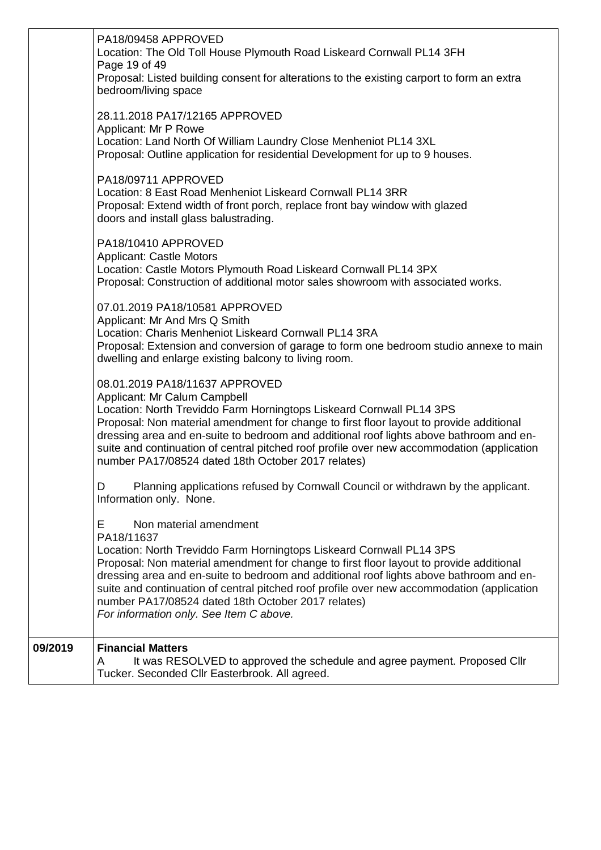|         | PA18/09458 APPROVED<br>Location: The Old Toll House Plymouth Road Liskeard Cornwall PL14 3FH<br>Page 19 of 49<br>Proposal: Listed building consent for alterations to the existing carport to form an extra<br>bedroom/living space<br>28.11.2018 PA17/12165 APPROVED                                                                                                                                                                                                                                   |
|---------|---------------------------------------------------------------------------------------------------------------------------------------------------------------------------------------------------------------------------------------------------------------------------------------------------------------------------------------------------------------------------------------------------------------------------------------------------------------------------------------------------------|
|         | Applicant: Mr P Rowe<br>Location: Land North Of William Laundry Close Menheniot PL14 3XL<br>Proposal: Outline application for residential Development for up to 9 houses.                                                                                                                                                                                                                                                                                                                               |
|         | PA18/09711 APPROVED<br>Location: 8 East Road Menheniot Liskeard Cornwall PL14 3RR<br>Proposal: Extend width of front porch, replace front bay window with glazed<br>doors and install glass balustrading.                                                                                                                                                                                                                                                                                               |
|         | PA18/10410 APPROVED<br><b>Applicant: Castle Motors</b><br>Location: Castle Motors Plymouth Road Liskeard Cornwall PL14 3PX<br>Proposal: Construction of additional motor sales showroom with associated works.                                                                                                                                                                                                                                                                                          |
|         | 07.01.2019 PA18/10581 APPROVED<br>Applicant: Mr And Mrs Q Smith<br>Location: Charis Menheniot Liskeard Cornwall PL14 3RA<br>Proposal: Extension and conversion of garage to form one bedroom studio annexe to main<br>dwelling and enlarge existing balcony to living room.                                                                                                                                                                                                                             |
|         | 08.01.2019 PA18/11637 APPROVED<br>Applicant: Mr Calum Campbell<br>Location: North Treviddo Farm Horningtops Liskeard Cornwall PL14 3PS<br>Proposal: Non material amendment for change to first floor layout to provide additional<br>dressing area and en-suite to bedroom and additional roof lights above bathroom and en-<br>suite and continuation of central pitched roof profile over new accommodation (application<br>number PA17/08524 dated 18th October 2017 relates)                        |
|         | D<br>Planning applications refused by Cornwall Council or withdrawn by the applicant.<br>Information only. None.                                                                                                                                                                                                                                                                                                                                                                                        |
|         | E.<br>Non material amendment<br>PA18/11637<br>Location: North Treviddo Farm Horningtops Liskeard Cornwall PL14 3PS<br>Proposal: Non material amendment for change to first floor layout to provide additional<br>dressing area and en-suite to bedroom and additional roof lights above bathroom and en-<br>suite and continuation of central pitched roof profile over new accommodation (application<br>number PA17/08524 dated 18th October 2017 relates)<br>For information only. See Item C above. |
| 09/2019 | <b>Financial Matters</b><br>It was RESOLVED to approved the schedule and agree payment. Proposed Cllr<br>A<br>Tucker. Seconded Cllr Easterbrook. All agreed.                                                                                                                                                                                                                                                                                                                                            |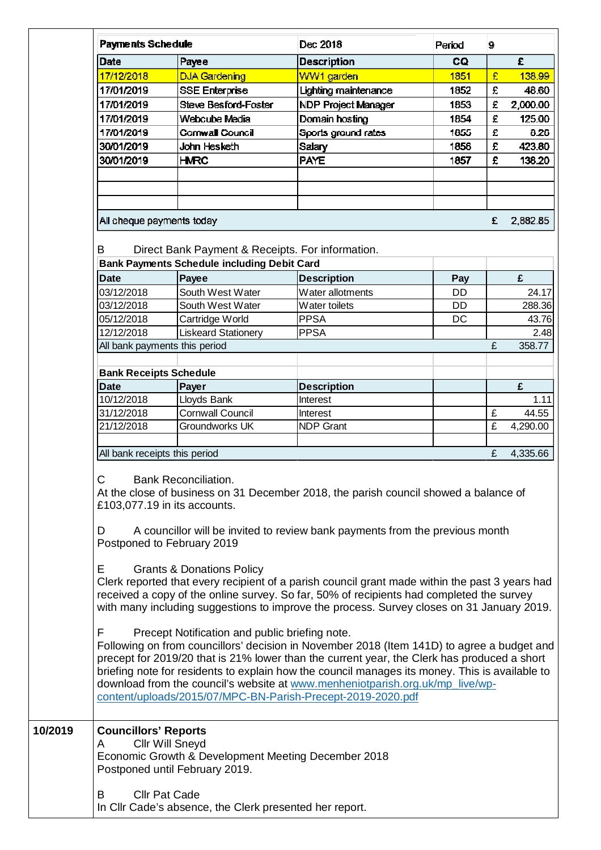| Date<br>17/12/2018<br>17/01/2019<br>17/01/2019<br>17/01/2019<br>17/01/2019<br>30/01/2019                                                                                                                                                                                                                                                                                                                                                                                                                                                                                                                                                                                                                                                                                                                                                                                                                                                                                                                               | Payee<br><b>DJA Gardening</b><br><b>SSE Enterprise</b><br><b>Steve Besford-Foster</b> | <b>Description</b><br>WW1 garden<br>Lighting maintenance<br>NDP Project Manager | CQ.<br>1851<br>1852 | £<br>£ | £<br>138.99<br>48.60 |  |
|------------------------------------------------------------------------------------------------------------------------------------------------------------------------------------------------------------------------------------------------------------------------------------------------------------------------------------------------------------------------------------------------------------------------------------------------------------------------------------------------------------------------------------------------------------------------------------------------------------------------------------------------------------------------------------------------------------------------------------------------------------------------------------------------------------------------------------------------------------------------------------------------------------------------------------------------------------------------------------------------------------------------|---------------------------------------------------------------------------------------|---------------------------------------------------------------------------------|---------------------|--------|----------------------|--|
|                                                                                                                                                                                                                                                                                                                                                                                                                                                                                                                                                                                                                                                                                                                                                                                                                                                                                                                                                                                                                        |                                                                                       |                                                                                 |                     |        |                      |  |
|                                                                                                                                                                                                                                                                                                                                                                                                                                                                                                                                                                                                                                                                                                                                                                                                                                                                                                                                                                                                                        |                                                                                       |                                                                                 |                     |        |                      |  |
|                                                                                                                                                                                                                                                                                                                                                                                                                                                                                                                                                                                                                                                                                                                                                                                                                                                                                                                                                                                                                        |                                                                                       |                                                                                 |                     |        |                      |  |
|                                                                                                                                                                                                                                                                                                                                                                                                                                                                                                                                                                                                                                                                                                                                                                                                                                                                                                                                                                                                                        |                                                                                       |                                                                                 | 1853                | £      | 2,000.00             |  |
|                                                                                                                                                                                                                                                                                                                                                                                                                                                                                                                                                                                                                                                                                                                                                                                                                                                                                                                                                                                                                        | Webcube Media                                                                         | Domain hosting                                                                  | 1854                | £      | 125.00               |  |
|                                                                                                                                                                                                                                                                                                                                                                                                                                                                                                                                                                                                                                                                                                                                                                                                                                                                                                                                                                                                                        | Cornwall Council                                                                      | Sports ground rates                                                             | 1855                | £      | 8.26                 |  |
|                                                                                                                                                                                                                                                                                                                                                                                                                                                                                                                                                                                                                                                                                                                                                                                                                                                                                                                                                                                                                        | John Hesketh                                                                          | <b>Salary</b>                                                                   | 1856                | £      | 423.80               |  |
| 30/01/2019                                                                                                                                                                                                                                                                                                                                                                                                                                                                                                                                                                                                                                                                                                                                                                                                                                                                                                                                                                                                             | <b>HMRC</b>                                                                           | <b>PAYE</b>                                                                     | 1857                | £      | 138.20               |  |
|                                                                                                                                                                                                                                                                                                                                                                                                                                                                                                                                                                                                                                                                                                                                                                                                                                                                                                                                                                                                                        |                                                                                       |                                                                                 |                     |        |                      |  |
|                                                                                                                                                                                                                                                                                                                                                                                                                                                                                                                                                                                                                                                                                                                                                                                                                                                                                                                                                                                                                        |                                                                                       |                                                                                 |                     |        |                      |  |
|                                                                                                                                                                                                                                                                                                                                                                                                                                                                                                                                                                                                                                                                                                                                                                                                                                                                                                                                                                                                                        |                                                                                       |                                                                                 |                     |        |                      |  |
| All cheque payments today                                                                                                                                                                                                                                                                                                                                                                                                                                                                                                                                                                                                                                                                                                                                                                                                                                                                                                                                                                                              |                                                                                       |                                                                                 |                     | £      | 2,882.85             |  |
| B                                                                                                                                                                                                                                                                                                                                                                                                                                                                                                                                                                                                                                                                                                                                                                                                                                                                                                                                                                                                                      | Direct Bank Payment & Receipts. For information.                                      |                                                                                 |                     |        |                      |  |
|                                                                                                                                                                                                                                                                                                                                                                                                                                                                                                                                                                                                                                                                                                                                                                                                                                                                                                                                                                                                                        | <b>Bank Payments Schedule including Debit Card</b>                                    |                                                                                 |                     |        |                      |  |
| <b>Date</b>                                                                                                                                                                                                                                                                                                                                                                                                                                                                                                                                                                                                                                                                                                                                                                                                                                                                                                                                                                                                            | Payee                                                                                 | <b>Description</b>                                                              | Pay                 |        | £                    |  |
| 03/12/2018                                                                                                                                                                                                                                                                                                                                                                                                                                                                                                                                                                                                                                                                                                                                                                                                                                                                                                                                                                                                             | South West Water                                                                      | Water allotments                                                                | DD                  |        | 24.17                |  |
| 03/12/2018                                                                                                                                                                                                                                                                                                                                                                                                                                                                                                                                                                                                                                                                                                                                                                                                                                                                                                                                                                                                             | South West Water                                                                      | Water toilets                                                                   | DD                  |        | 288.36               |  |
| 05/12/2018                                                                                                                                                                                                                                                                                                                                                                                                                                                                                                                                                                                                                                                                                                                                                                                                                                                                                                                                                                                                             | Cartridge World                                                                       | <b>PPSA</b>                                                                     | DC                  |        | 43.76                |  |
| 12/12/2018                                                                                                                                                                                                                                                                                                                                                                                                                                                                                                                                                                                                                                                                                                                                                                                                                                                                                                                                                                                                             | <b>Liskeard Stationery</b>                                                            | <b>PPSA</b>                                                                     |                     |        | 2.48                 |  |
| All bank payments this period                                                                                                                                                                                                                                                                                                                                                                                                                                                                                                                                                                                                                                                                                                                                                                                                                                                                                                                                                                                          |                                                                                       |                                                                                 |                     | £      | 358.77               |  |
| <b>Bank Receipts Schedule</b>                                                                                                                                                                                                                                                                                                                                                                                                                                                                                                                                                                                                                                                                                                                                                                                                                                                                                                                                                                                          |                                                                                       |                                                                                 |                     |        |                      |  |
| <b>Date</b>                                                                                                                                                                                                                                                                                                                                                                                                                                                                                                                                                                                                                                                                                                                                                                                                                                                                                                                                                                                                            | Payer                                                                                 | <b>Description</b>                                                              |                     |        | £                    |  |
| 10/12/2018                                                                                                                                                                                                                                                                                                                                                                                                                                                                                                                                                                                                                                                                                                                                                                                                                                                                                                                                                                                                             | Lloyds Bank                                                                           | Interest                                                                        |                     |        | 1.11                 |  |
| 31/12/2018                                                                                                                                                                                                                                                                                                                                                                                                                                                                                                                                                                                                                                                                                                                                                                                                                                                                                                                                                                                                             | <b>Cornwall Council</b>                                                               | Interest                                                                        |                     | £      | 44.55                |  |
| 21/12/2018                                                                                                                                                                                                                                                                                                                                                                                                                                                                                                                                                                                                                                                                                                                                                                                                                                                                                                                                                                                                             | Groundworks UK                                                                        | <b>NDP Grant</b>                                                                |                     | £      | 4,290.00             |  |
|                                                                                                                                                                                                                                                                                                                                                                                                                                                                                                                                                                                                                                                                                                                                                                                                                                                                                                                                                                                                                        |                                                                                       |                                                                                 |                     |        |                      |  |
| All bank receipts this period                                                                                                                                                                                                                                                                                                                                                                                                                                                                                                                                                                                                                                                                                                                                                                                                                                                                                                                                                                                          |                                                                                       |                                                                                 |                     | £      | 4,335.66             |  |
| At the close of business on 31 December 2018, the parish council showed a balance of<br>£103,077.19 in its accounts.<br>A councillor will be invited to review bank payments from the previous month<br>D<br>Postponed to February 2019<br><b>Grants &amp; Donations Policy</b><br>Е<br>Clerk reported that every recipient of a parish council grant made within the past 3 years had<br>received a copy of the online survey. So far, 50% of recipients had completed the survey<br>with many including suggestions to improve the process. Survey closes on 31 January 2019.<br>Precept Notification and public briefing note.<br>F<br>Following on from councillors' decision in November 2018 (Item 141D) to agree a budget and<br>precept for 2019/20 that is 21% lower than the current year, the Clerk has produced a short<br>briefing note for residents to explain how the council manages its money. This is available to<br>download from the council's website at www.menheniotparish.org.uk/mp_live/wp- |                                                                                       |                                                                                 |                     |        |                      |  |
| <b>Councillors' Reports</b><br><b>Cllr Will Sneyd</b><br>A                                                                                                                                                                                                                                                                                                                                                                                                                                                                                                                                                                                                                                                                                                                                                                                                                                                                                                                                                             | Economic Growth & Development Meeting December 2018                                   | content/uploads/2015/07/MPC-BN-Parish-Precept-2019-2020.pdf                     |                     |        |                      |  |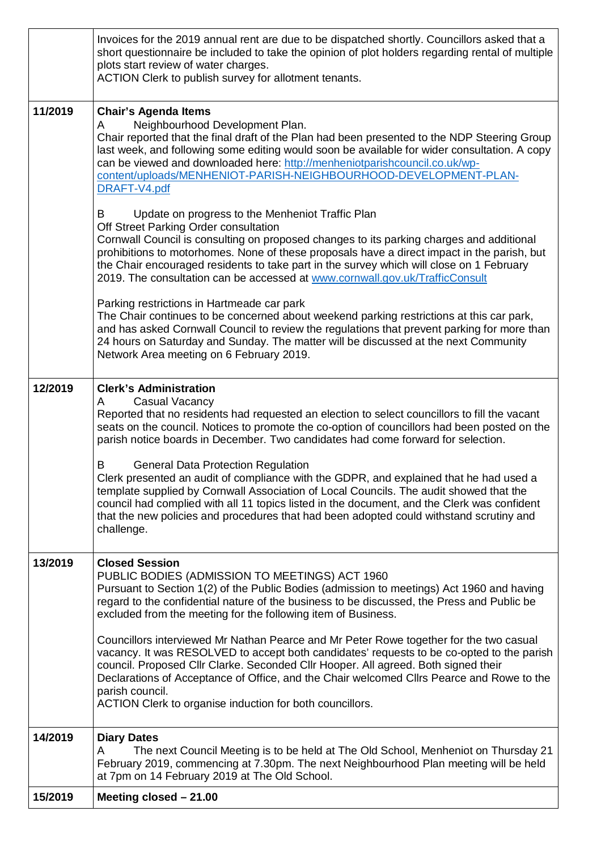|         | Invoices for the 2019 annual rent are due to be dispatched shortly. Councillors asked that a<br>short questionnaire be included to take the opinion of plot holders regarding rental of multiple<br>plots start review of water charges.<br>ACTION Clerk to publish survey for allotment tenants.                                                                                                                                                                     |
|---------|-----------------------------------------------------------------------------------------------------------------------------------------------------------------------------------------------------------------------------------------------------------------------------------------------------------------------------------------------------------------------------------------------------------------------------------------------------------------------|
| 11/2019 | <b>Chair's Agenda Items</b><br>Neighbourhood Development Plan.<br>A<br>Chair reported that the final draft of the Plan had been presented to the NDP Steering Group<br>last week, and following some editing would soon be available for wider consultation. A copy<br>can be viewed and downloaded here: http://menheniotparishcouncil.co.uk/wp-<br>content/uploads/MENHENIOT-PARISH-NEIGHBOURHOOD-DEVELOPMENT-PLAN-<br>DRAFT-V4.pdf                                 |
|         | Update on progress to the Menheniot Traffic Plan<br>B<br>Off Street Parking Order consultation<br>Cornwall Council is consulting on proposed changes to its parking charges and additional<br>prohibitions to motorhomes. None of these proposals have a direct impact in the parish, but<br>the Chair encouraged residents to take part in the survey which will close on 1 February<br>2019. The consultation can be accessed at www.cornwall.gov.uk/TrafficConsult |
|         | Parking restrictions in Hartmeade car park<br>The Chair continues to be concerned about weekend parking restrictions at this car park,<br>and has asked Cornwall Council to review the regulations that prevent parking for more than<br>24 hours on Saturday and Sunday. The matter will be discussed at the next Community<br>Network Area meeting on 6 February 2019.                                                                                              |
| 12/2019 | <b>Clerk's Administration</b><br><b>Casual Vacancy</b><br>A<br>Reported that no residents had requested an election to select councillors to fill the vacant<br>seats on the council. Notices to promote the co-option of councillors had been posted on the<br>parish notice boards in December. Two candidates had come forward for selection.                                                                                                                      |
|         | <b>General Data Protection Regulation</b><br>B<br>Clerk presented an audit of compliance with the GDPR, and explained that he had used a<br>template supplied by Cornwall Association of Local Councils. The audit showed that the<br>council had complied with all 11 topics listed in the document, and the Clerk was confident<br>that the new policies and procedures that had been adopted could withstand scrutiny and<br>challenge.                            |
| 13/2019 | <b>Closed Session</b><br>PUBLIC BODIES (ADMISSION TO MEETINGS) ACT 1960<br>Pursuant to Section 1(2) of the Public Bodies (admission to meetings) Act 1960 and having<br>regard to the confidential nature of the business to be discussed, the Press and Public be<br>excluded from the meeting for the following item of Business.                                                                                                                                   |
|         | Councillors interviewed Mr Nathan Pearce and Mr Peter Rowe together for the two casual<br>vacancy. It was RESOLVED to accept both candidates' requests to be co-opted to the parish<br>council. Proposed Cllr Clarke. Seconded Cllr Hooper. All agreed. Both signed their<br>Declarations of Acceptance of Office, and the Chair welcomed Cllrs Pearce and Rowe to the<br>parish council.<br>ACTION Clerk to organise induction for both councillors.                 |
| 14/2019 | <b>Diary Dates</b>                                                                                                                                                                                                                                                                                                                                                                                                                                                    |
|         | The next Council Meeting is to be held at The Old School, Menheniot on Thursday 21<br>A<br>February 2019, commencing at 7.30pm. The next Neighbourhood Plan meeting will be held<br>at 7pm on 14 February 2019 at The Old School.                                                                                                                                                                                                                                     |
| 15/2019 | Meeting closed $-21.00$                                                                                                                                                                                                                                                                                                                                                                                                                                               |